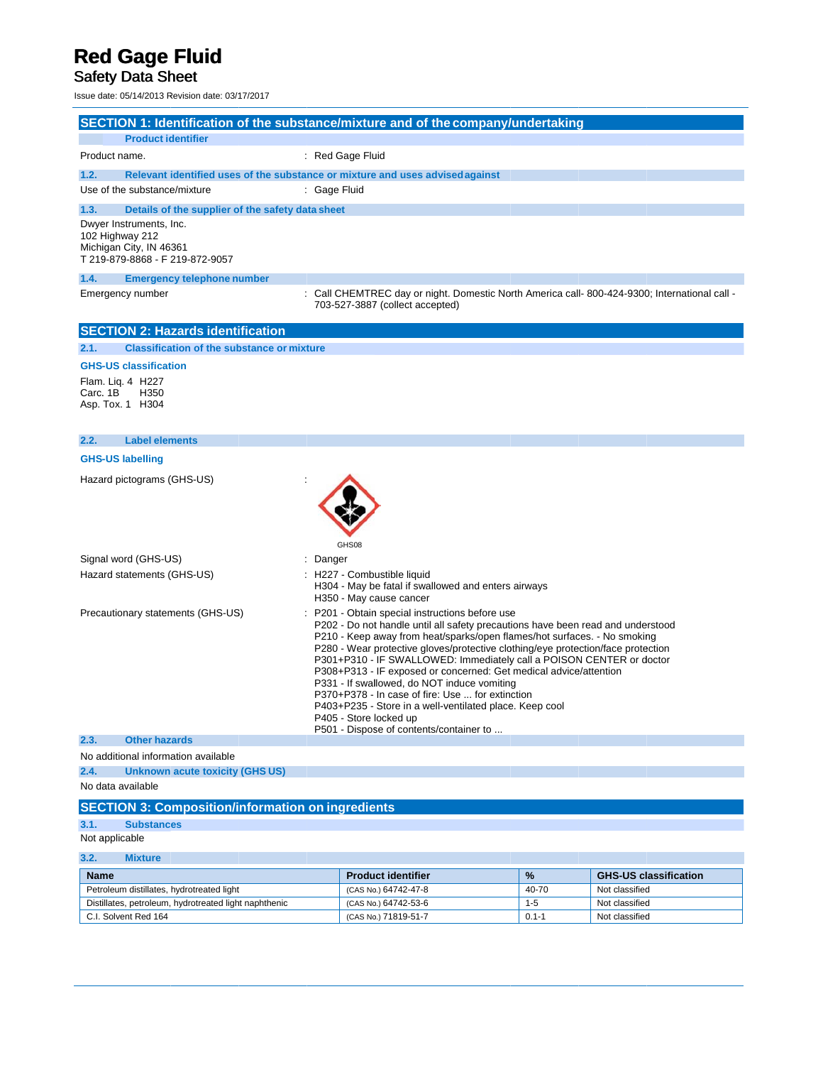# **Red Gage Fluid**<br>Safety Data Sheet

Issue date: 05/14/2013 Revision date: 03/17/2017

|                                                   |                                                                                       | SECTION 1: Identification of the substance/mixture and of the company/undertaking                                                                                                                                                                                                                                                                                                                                                                                                                                                                                                                                                                                                  |  |
|---------------------------------------------------|---------------------------------------------------------------------------------------|------------------------------------------------------------------------------------------------------------------------------------------------------------------------------------------------------------------------------------------------------------------------------------------------------------------------------------------------------------------------------------------------------------------------------------------------------------------------------------------------------------------------------------------------------------------------------------------------------------------------------------------------------------------------------------|--|
|                                                   | <b>Product identifier</b>                                                             |                                                                                                                                                                                                                                                                                                                                                                                                                                                                                                                                                                                                                                                                                    |  |
| Product name.                                     |                                                                                       | : Red Gage Fluid                                                                                                                                                                                                                                                                                                                                                                                                                                                                                                                                                                                                                                                                   |  |
| 1.2.                                              |                                                                                       | Relevant identified uses of the substance or mixture and uses advised against                                                                                                                                                                                                                                                                                                                                                                                                                                                                                                                                                                                                      |  |
|                                                   | Use of the substance/mixture                                                          | : Gage Fluid                                                                                                                                                                                                                                                                                                                                                                                                                                                                                                                                                                                                                                                                       |  |
| 1.3.                                              | Details of the supplier of the safety data sheet                                      |                                                                                                                                                                                                                                                                                                                                                                                                                                                                                                                                                                                                                                                                                    |  |
| 102 Highway 212                                   | Dwyer Instruments, Inc.<br>Michigan City, IN 46361<br>T 219-879-8868 - F 219-872-9057 |                                                                                                                                                                                                                                                                                                                                                                                                                                                                                                                                                                                                                                                                                    |  |
| 1.4.                                              | <b>Emergency telephone number</b>                                                     |                                                                                                                                                                                                                                                                                                                                                                                                                                                                                                                                                                                                                                                                                    |  |
| Emergency number                                  |                                                                                       | Call CHEMTREC day or night. Domestic North America call-800-424-9300; International call -<br>703-527-3887 (collect accepted)                                                                                                                                                                                                                                                                                                                                                                                                                                                                                                                                                      |  |
|                                                   | <b>SECTION 2: Hazards identification</b>                                              |                                                                                                                                                                                                                                                                                                                                                                                                                                                                                                                                                                                                                                                                                    |  |
| 2.1.                                              | <b>Classification of the substance or mixture</b>                                     |                                                                                                                                                                                                                                                                                                                                                                                                                                                                                                                                                                                                                                                                                    |  |
|                                                   | <b>GHS-US classification</b>                                                          |                                                                                                                                                                                                                                                                                                                                                                                                                                                                                                                                                                                                                                                                                    |  |
| Flam. Lig. 4 H227<br>Carc. 1B<br>Asp. Tox. 1 H304 | H350                                                                                  |                                                                                                                                                                                                                                                                                                                                                                                                                                                                                                                                                                                                                                                                                    |  |
| 2.2.                                              | <b>Label elements</b>                                                                 |                                                                                                                                                                                                                                                                                                                                                                                                                                                                                                                                                                                                                                                                                    |  |
| <b>GHS-US labelling</b>                           |                                                                                       |                                                                                                                                                                                                                                                                                                                                                                                                                                                                                                                                                                                                                                                                                    |  |
|                                                   | Hazard pictograms (GHS-US)                                                            | GHS08                                                                                                                                                                                                                                                                                                                                                                                                                                                                                                                                                                                                                                                                              |  |
| Signal word (GHS-US)                              |                                                                                       | Danger                                                                                                                                                                                                                                                                                                                                                                                                                                                                                                                                                                                                                                                                             |  |
|                                                   | Hazard statements (GHS-US)                                                            | : H227 - Combustible liquid<br>H304 - May be fatal if swallowed and enters airways<br>H350 - May cause cancer                                                                                                                                                                                                                                                                                                                                                                                                                                                                                                                                                                      |  |
| Precautionary statements (GHS-US)                 |                                                                                       | : P201 - Obtain special instructions before use<br>P202 - Do not handle until all safety precautions have been read and understood<br>P210 - Keep away from heat/sparks/open flames/hot surfaces. - No smoking<br>P280 - Wear protective gloves/protective clothing/eye protection/face protection<br>P301+P310 - IF SWALLOWED: Immediately call a POISON CENTER or doctor<br>P308+P313 - IF exposed or concerned: Get medical advice/attention<br>P331 - If swallowed, do NOT induce vomiting<br>P370+P378 - In case of fire: Use  for extinction<br>P403+P235 - Store in a well-ventilated place. Keep cool<br>P405 - Store locked up<br>P501 - Dispose of contents/container to |  |
| 2.3.                                              | <b>Other hazards</b>                                                                  |                                                                                                                                                                                                                                                                                                                                                                                                                                                                                                                                                                                                                                                                                    |  |
|                                                   | No additional information available                                                   |                                                                                                                                                                                                                                                                                                                                                                                                                                                                                                                                                                                                                                                                                    |  |
| 2.4.                                              | <b>Unknown acute toxicity (GHS US)</b>                                                |                                                                                                                                                                                                                                                                                                                                                                                                                                                                                                                                                                                                                                                                                    |  |
| No data available                                 |                                                                                       |                                                                                                                                                                                                                                                                                                                                                                                                                                                                                                                                                                                                                                                                                    |  |
|                                                   | <b>SECTION 3: Composition/information on ingredients</b>                              |                                                                                                                                                                                                                                                                                                                                                                                                                                                                                                                                                                                                                                                                                    |  |
| 3.1.                                              | <b>Substances</b>                                                                     |                                                                                                                                                                                                                                                                                                                                                                                                                                                                                                                                                                                                                                                                                    |  |
| Not applicable                                    |                                                                                       |                                                                                                                                                                                                                                                                                                                                                                                                                                                                                                                                                                                                                                                                                    |  |
| 3.2.                                              | <b>Mixture</b>                                                                        |                                                                                                                                                                                                                                                                                                                                                                                                                                                                                                                                                                                                                                                                                    |  |

| <b>Name</b>                                           | <b>Product identifier</b> | $\frac{9}{6}$ | <b>GHS-US classification</b> |
|-------------------------------------------------------|---------------------------|---------------|------------------------------|
| Petroleum distillates, hydrotreated light             | (CAS No.) 64742-47-8      | 40-70         | Not classified               |
| Distillates, petroleum, hydrotreated light naphthenic | (CAS No.) 64742-53-6      | 1-5           | Not classified               |
| C.I. Solvent Red 164                                  | (CAS No.) 71819-51-7      | $0.1 - 1$     | Not classified               |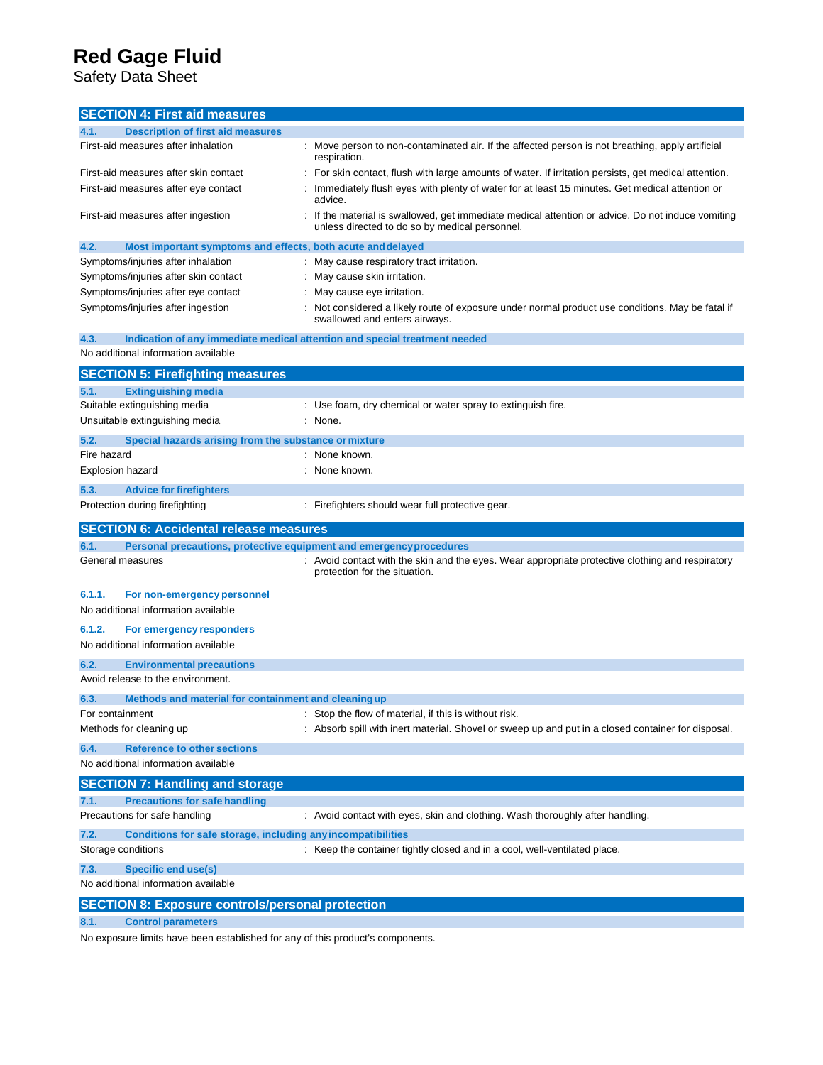Safety Data Sheet

| <b>SECTION 4: First aid measures</b>                                        |                                                                                                                                                   |
|-----------------------------------------------------------------------------|---------------------------------------------------------------------------------------------------------------------------------------------------|
| <b>Description of first aid measures</b><br>4.1.                            |                                                                                                                                                   |
| First-aid measures after inhalation                                         | : Move person to non-contaminated air. If the affected person is not breathing, apply artificial<br>respiration.                                  |
| First-aid measures after skin contact                                       | For skin contact, flush with large amounts of water. If irritation persists, get medical attention.                                               |
| First-aid measures after eye contact                                        | Immediately flush eyes with plenty of water for at least 15 minutes. Get medical attention or<br>advice.                                          |
| First-aid measures after ingestion                                          | If the material is swallowed, get immediate medical attention or advice. Do not induce vomiting<br>unless directed to do so by medical personnel. |
| 4.2.<br>Most important symptoms and effects, both acute and delayed         |                                                                                                                                                   |
| Symptoms/injuries after inhalation                                          | May cause respiratory tract irritation.                                                                                                           |
| Symptoms/injuries after skin contact                                        | May cause skin irritation.                                                                                                                        |
| Symptoms/injuries after eye contact                                         | May cause eye irritation.                                                                                                                         |
| Symptoms/injuries after ingestion                                           | Not considered a likely route of exposure under normal product use conditions. May be fatal if<br>swallowed and enters airways.                   |
| 4.3.                                                                        | Indication of any immediate medical attention and special treatment needed                                                                        |
| No additional information available                                         |                                                                                                                                                   |
| <b>SECTION 5: Firefighting measures</b>                                     |                                                                                                                                                   |
| 5.1.<br><b>Extinguishing media</b>                                          |                                                                                                                                                   |
| Suitable extinguishing media                                                | : Use foam, dry chemical or water spray to extinguish fire.                                                                                       |
| Unsuitable extinguishing media                                              | : None.                                                                                                                                           |
| 5.2.<br>Special hazards arising from the substance or mixture               |                                                                                                                                                   |
| Fire hazard                                                                 | None known.                                                                                                                                       |
| <b>Explosion hazard</b>                                                     | None known.                                                                                                                                       |
| 5.3.<br><b>Advice for firefighters</b>                                      |                                                                                                                                                   |
| Protection during firefighting                                              | : Firefighters should wear full protective gear.                                                                                                  |
| <b>SECTION 6: Accidental release measures</b>                               |                                                                                                                                                   |
| Personal precautions, protective equipment and emergency procedures<br>6.1. |                                                                                                                                                   |
| General measures                                                            | Avoid contact with the skin and the eyes. Wear appropriate protective clothing and respiratory<br>protection for the situation.                   |
| 6.1.1.<br>For non-emergency personnel                                       |                                                                                                                                                   |
| No additional information available                                         |                                                                                                                                                   |
| 6.1.2.<br>For emergency responders                                          |                                                                                                                                                   |
|                                                                             |                                                                                                                                                   |
| No additional information available                                         |                                                                                                                                                   |
| 6.2.<br><b>Environmental precautions</b>                                    |                                                                                                                                                   |
| Avoid release to the environment.                                           |                                                                                                                                                   |
| 6.3.<br>Methods and material for containment and cleaning up                |                                                                                                                                                   |
| For containment                                                             | Stop the flow of material, if this is without risk.                                                                                               |
| Methods for cleaning up                                                     | Absorb spill with inert material. Shovel or sweep up and put in a closed container for disposal.                                                  |
| <b>Reference to other sections</b><br>6.4.                                  |                                                                                                                                                   |
| No additional information available                                         |                                                                                                                                                   |
|                                                                             |                                                                                                                                                   |
| <b>SECTION 7: Handling and storage</b><br>7.1.                              |                                                                                                                                                   |
| <b>Precautions for safe handling</b><br>Precautions for safe handling       | : Avoid contact with eyes, skin and clothing. Wash thoroughly after handling.                                                                     |
| 7.2.<br>Conditions for safe storage, including any incompatibilities        |                                                                                                                                                   |
| Storage conditions                                                          | : Keep the container tightly closed and in a cool, well-ventilated place.                                                                         |
|                                                                             |                                                                                                                                                   |
| <b>Specific end use(s)</b><br>7.3.<br>No additional information available   |                                                                                                                                                   |

**8.1. Control parameters**

No exposure limits have been established for any of this product's components.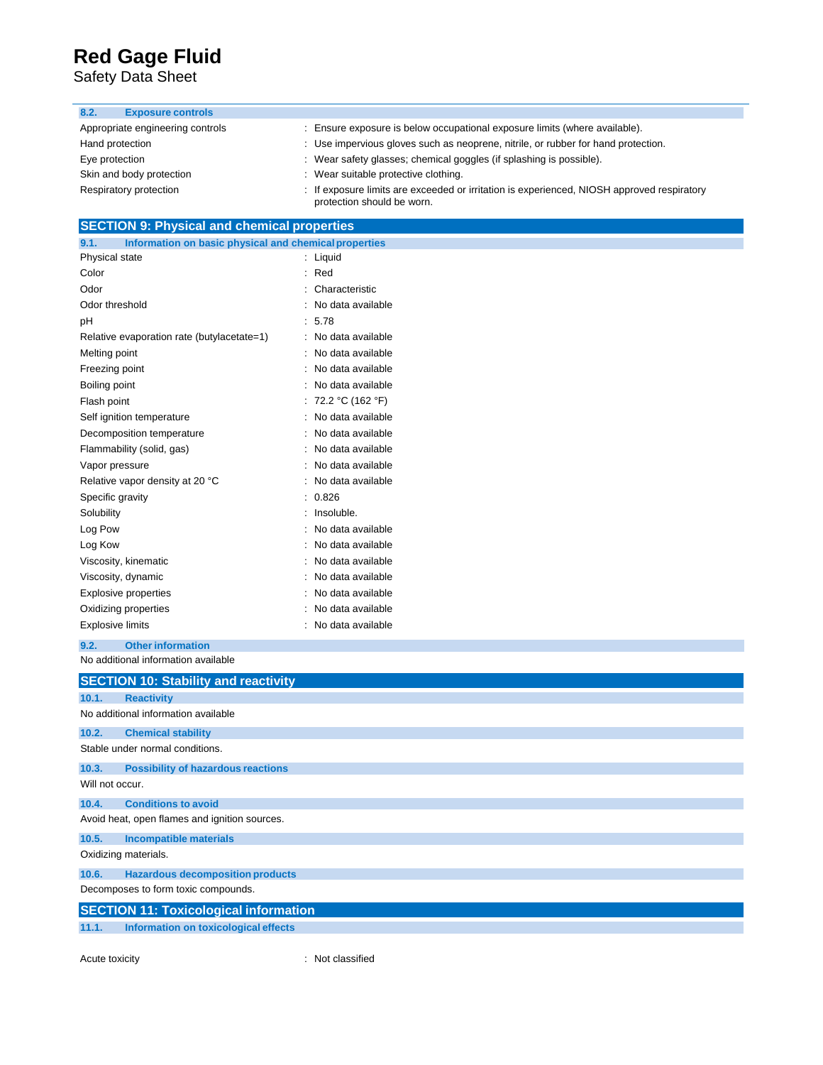Safety Data Sheet

#### **8.2. Exposure controls**

| Appropriate engineering controls | Ensure exposure is below occupational exposure limits (where available).                                                 |
|----------------------------------|--------------------------------------------------------------------------------------------------------------------------|
| Hand protection                  | : Use impervious gloves such as neoprene, nitrile, or rubber for hand protection.                                        |
| Eye protection                   | : Wear safety glasses; chemical goggles (if splashing is possible).                                                      |
| Skin and body protection         | : Wear suitable protective clothing.                                                                                     |
| Respiratory protection           | : If exposure limits are exceeded or irritation is experienced, NIOSH approved respiratory<br>protection should be worn. |

### **SECTION 9: Physical and chemical properties**

| 9.1.<br>Information on basic physical and chemical properties |   |                   |
|---------------------------------------------------------------|---|-------------------|
| Physical state                                                |   | Liquid            |
| Color                                                         |   | Red               |
| Odor                                                          |   | Characteristic    |
| Odor threshold                                                |   | No data available |
| рH                                                            |   | 5.78              |
| Relative evaporation rate (butylacetate=1)                    |   | No data available |
| Melting point                                                 |   | No data available |
| Freezing point                                                |   | No data available |
| Boiling point                                                 |   | No data available |
| Flash point                                                   |   | 72.2 °C (162 °F)  |
| Self ignition temperature                                     |   | No data available |
| Decomposition temperature                                     |   | No data available |
| Flammability (solid, gas)                                     |   | No data available |
| Vapor pressure                                                |   | No data available |
| Relative vapor density at 20 °C                               | ۰ | No data available |
| Specific gravity                                              | ÷ | 0.826             |
| Solubility                                                    | ٠ | Insoluble.        |
| Log Pow                                                       |   | No data available |
| Log Kow                                                       |   | No data available |
| Viscosity, kinematic                                          |   | No data available |
| Viscosity, dynamic                                            |   | No data available |
| <b>Explosive properties</b>                                   |   | No data available |
| Oxidizing properties                                          |   | No data available |
| <b>Explosive limits</b>                                       |   | No data available |

#### No additional information available **9.2. Other information**

|                 | <b>SECTION 10: Stability and reactivity</b>   |
|-----------------|-----------------------------------------------|
| 10.1.           | <b>Reactivity</b>                             |
|                 | No additional information available           |
| 10.2.           | <b>Chemical stability</b>                     |
|                 | Stable under normal conditions.               |
| 10.3.           | <b>Possibility of hazardous reactions</b>     |
| Will not occur. |                                               |
| 10.4.           | <b>Conditions to avoid</b>                    |
|                 | Avoid heat, open flames and ignition sources. |
| 10.5.           | <b>Incompatible materials</b>                 |
|                 | Oxidizing materials.                          |
| 10.6.           | <b>Hazardous decomposition products</b>       |
|                 | Decomposes to form toxic compounds.           |
|                 | <b>SECTION 11: Toxicological information</b>  |
| 11.1.           | Information on toxicological effects          |

Acute toxicity **in the case of the contract of the contract of the contract of the contract of the contract of the contract of the contract of the contract of the contract of the contract of the contract of the contract of**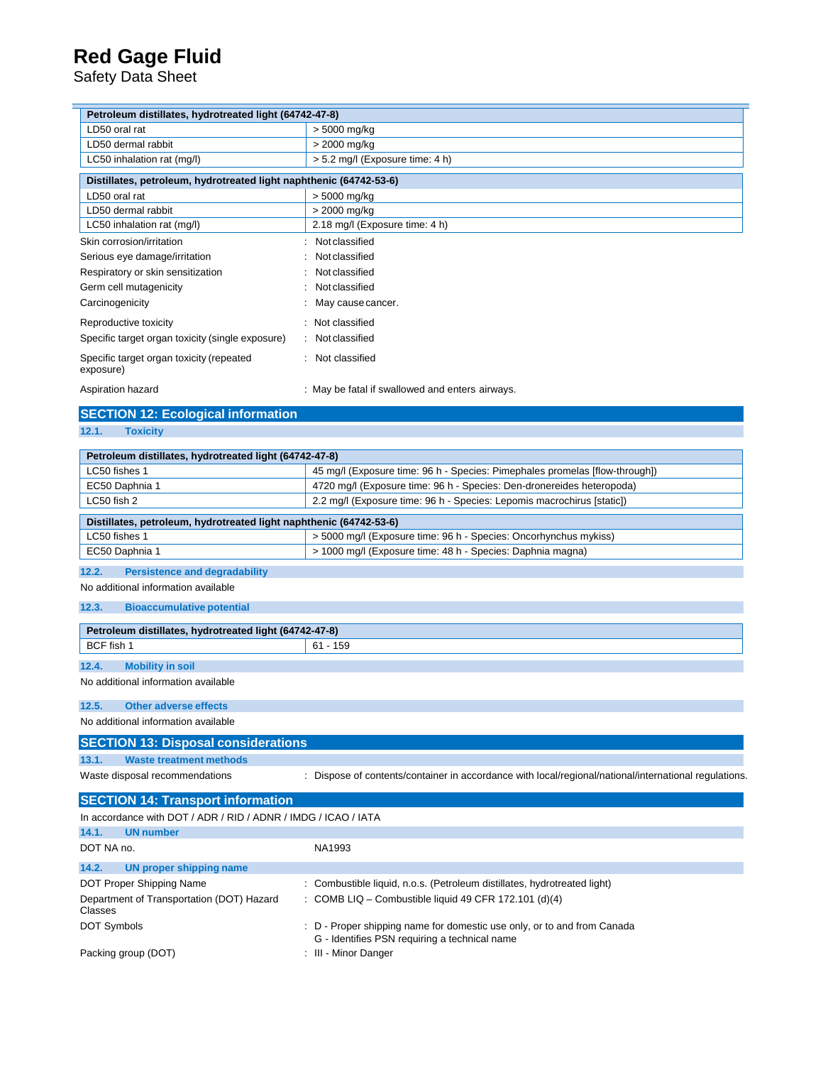Safety Data Sheet

| Petroleum distillates, hydrotreated light (64742-47-8)                            |                                                                             |  |  |
|-----------------------------------------------------------------------------------|-----------------------------------------------------------------------------|--|--|
| LD50 oral rat                                                                     | > 5000 mg/kg                                                                |  |  |
| LD50 dermal rabbit                                                                | > 2000 mg/kg                                                                |  |  |
| LC50 inhalation rat (mq/l)                                                        | > 5.2 mg/l (Exposure time: 4 h)                                             |  |  |
| Distillates, petroleum, hydrotreated light naphthenic (64742-53-6)                |                                                                             |  |  |
| LD50 oral rat                                                                     | > 5000 mg/kg                                                                |  |  |
| LD50 dermal rabbit                                                                | > 2000 mg/kg                                                                |  |  |
| LC50 inhalation rat (mg/l)                                                        | 2.18 mg/l (Exposure time: 4 h)                                              |  |  |
| Skin corrosion/irritation                                                         | Not classified                                                              |  |  |
| Serious eye damage/irritation                                                     | Not classified                                                              |  |  |
| Respiratory or skin sensitization                                                 | Not classified                                                              |  |  |
| Germ cell mutagenicity                                                            | Not classified                                                              |  |  |
| Carcinogenicity                                                                   | May cause cancer.                                                           |  |  |
| Reproductive toxicity                                                             | Not classified                                                              |  |  |
| Specific target organ toxicity (single exposure)                                  | Not classified                                                              |  |  |
| Specific target organ toxicity (repeated<br>exposure)                             | Not classified                                                              |  |  |
| Aspiration hazard                                                                 | : May be fatal if swallowed and enters airways.                             |  |  |
| <b>SECTION 12: Ecological information</b>                                         |                                                                             |  |  |
| <b>Toxicity</b><br>12.1.                                                          |                                                                             |  |  |
| Petroleum distillates, hydrotreated light (64742-47-8)                            |                                                                             |  |  |
| LC50 fishes 1                                                                     | 45 mg/l (Exposure time: 96 h - Species: Pimephales promelas [flow-through]) |  |  |
| EC50 Daphnia 1                                                                    | 4720 mg/l (Exposure time: 96 h - Species: Den-dronereides heteropoda)       |  |  |
| LC50 fish 2                                                                       | 2.2 mg/l (Exposure time: 96 h - Species: Lepomis macrochirus [static])      |  |  |
|                                                                                   |                                                                             |  |  |
| Distillates, petroleum, hydrotreated light naphthenic (64742-53-6)                |                                                                             |  |  |
| LC50 fishes 1<br>> 5000 mg/l (Exposure time: 96 h - Species: Oncorhynchus mykiss) |                                                                             |  |  |
| EC50 Daphnia 1                                                                    | > 1000 mg/l (Exposure time: 48 h - Species: Daphnia magna)                  |  |  |
| 12.2.<br><b>Persistence and degradability</b>                                     |                                                                             |  |  |
| No additional information available                                               |                                                                             |  |  |
| 12.3.<br><b>Bioaccumulative potential</b>                                         |                                                                             |  |  |
|                                                                                   |                                                                             |  |  |

| Petroleum distillates, hydrotreated light (64742-47-8) |                         |              |
|--------------------------------------------------------|-------------------------|--------------|
| BCF fish 1                                             |                         | $-159$<br>61 |
| 12.4.                                                  | <b>Mobility in soil</b> |              |

No additional information available

#### **12.5. Other adverse effects**

No additional information available

|       | <b>SECTION 13: Disposal considerations</b> |
|-------|--------------------------------------------|
| 13.1. | Waste treatment methods                    |

Waste disposal recommendations : Dispose of contents/container in accordance with local/regional/national/international regulations.

| <b>SECTION 14: Transport information</b>                       |                                                                                                                          |  |  |  |
|----------------------------------------------------------------|--------------------------------------------------------------------------------------------------------------------------|--|--|--|
| In accordance with DOT / ADR / RID / ADNR / IMDG / ICAO / IATA |                                                                                                                          |  |  |  |
| 14.1.<br><b>UN</b> number                                      |                                                                                                                          |  |  |  |
| DOT NA no.                                                     | NA1993                                                                                                                   |  |  |  |
| 14.2.<br>UN proper shipping name                               |                                                                                                                          |  |  |  |
| DOT Proper Shipping Name                                       | : Combustible liquid, n.o.s. (Petroleum distillates, hydrotreated light)                                                 |  |  |  |
| Department of Transportation (DOT) Hazard<br>Classes           | : COMB LIQ – Combustible liquid 49 CFR 172.101 (d) $(4)$                                                                 |  |  |  |
| <b>DOT Symbols</b>                                             | : D - Proper shipping name for domestic use only, or to and from Canada<br>G - Identifies PSN requiring a technical name |  |  |  |
| Packing group (DOT)                                            | : III - Minor Danger                                                                                                     |  |  |  |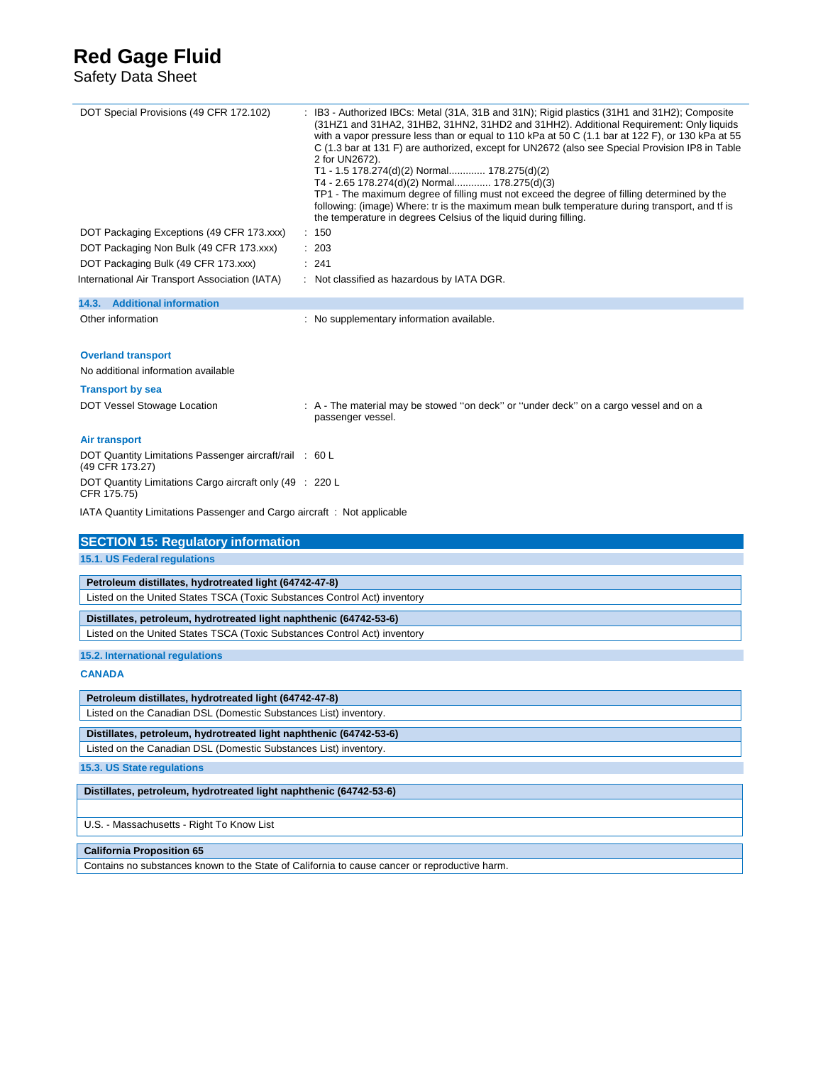Safety Data Sheet

| DOT Special Provisions (49 CFR 172.102)                                    | : IB3 - Authorized IBCs: Metal (31A, 31B and 31N); Rigid plastics (31H1 and 31H2); Composite<br>(31HZ1 and 31HA2, 31HB2, 31HN2, 31HD2 and 31HH2). Additional Requirement: Only liquids<br>with a vapor pressure less than or equal to 110 kPa at 50 C (1.1 bar at 122 F), or 130 kPa at 55<br>C (1.3 bar at 131 F) are authorized, except for UN2672 (also see Special Provision IP8 in Table<br>2 for UN2672).<br>T1 - 1.5 178.274(d)(2) Normal 178.275(d)(2)<br>T4 - 2.65 178.274(d)(2) Normal 178.275(d)(3)<br>TP1 - The maximum degree of filling must not exceed the degree of filling determined by the<br>following: (image) Where: tr is the maximum mean bulk temperature during transport, and tf is<br>the temperature in degrees Celsius of the liquid during filling. |  |
|----------------------------------------------------------------------------|------------------------------------------------------------------------------------------------------------------------------------------------------------------------------------------------------------------------------------------------------------------------------------------------------------------------------------------------------------------------------------------------------------------------------------------------------------------------------------------------------------------------------------------------------------------------------------------------------------------------------------------------------------------------------------------------------------------------------------------------------------------------------------|--|
| : 150<br>DOT Packaging Exceptions (49 CFR 173.xxx)                         |                                                                                                                                                                                                                                                                                                                                                                                                                                                                                                                                                                                                                                                                                                                                                                                    |  |
| DOT Packaging Non Bulk (49 CFR 173.xxx)                                    | : 203                                                                                                                                                                                                                                                                                                                                                                                                                                                                                                                                                                                                                                                                                                                                                                              |  |
| DOT Packaging Bulk (49 CFR 173.xxx)                                        | : 241                                                                                                                                                                                                                                                                                                                                                                                                                                                                                                                                                                                                                                                                                                                                                                              |  |
| International Air Transport Association (IATA)                             | : Not classified as hazardous by IATA DGR.                                                                                                                                                                                                                                                                                                                                                                                                                                                                                                                                                                                                                                                                                                                                         |  |
| 14.3. Additional information                                               |                                                                                                                                                                                                                                                                                                                                                                                                                                                                                                                                                                                                                                                                                                                                                                                    |  |
| Other information                                                          | : No supplementary information available.                                                                                                                                                                                                                                                                                                                                                                                                                                                                                                                                                                                                                                                                                                                                          |  |
| <b>Overland transport</b>                                                  |                                                                                                                                                                                                                                                                                                                                                                                                                                                                                                                                                                                                                                                                                                                                                                                    |  |
| No additional information available                                        |                                                                                                                                                                                                                                                                                                                                                                                                                                                                                                                                                                                                                                                                                                                                                                                    |  |
| <b>Transport by sea</b>                                                    |                                                                                                                                                                                                                                                                                                                                                                                                                                                                                                                                                                                                                                                                                                                                                                                    |  |
| DOT Vessel Stowage Location                                                | : A - The material may be stowed "on deck" or "under deck" on a cargo vessel and on a                                                                                                                                                                                                                                                                                                                                                                                                                                                                                                                                                                                                                                                                                              |  |
|                                                                            | passenger vessel.                                                                                                                                                                                                                                                                                                                                                                                                                                                                                                                                                                                                                                                                                                                                                                  |  |
| <b>Air transport</b>                                                       |                                                                                                                                                                                                                                                                                                                                                                                                                                                                                                                                                                                                                                                                                                                                                                                    |  |
| DOT Quantity Limitations Passenger aircraft/rail : 60 L<br>(49 CFR 173.27) |                                                                                                                                                                                                                                                                                                                                                                                                                                                                                                                                                                                                                                                                                                                                                                                    |  |
| DOT Quantity Limitations Cargo aircraft only (49 : 220 L                   |                                                                                                                                                                                                                                                                                                                                                                                                                                                                                                                                                                                                                                                                                                                                                                                    |  |
| CFR 175.75)                                                                |                                                                                                                                                                                                                                                                                                                                                                                                                                                                                                                                                                                                                                                                                                                                                                                    |  |
| IATA Quantity Limitations Passenger and Cargo aircraft: Not applicable     |                                                                                                                                                                                                                                                                                                                                                                                                                                                                                                                                                                                                                                                                                                                                                                                    |  |
| <b>SECTION 15: Regulatory information</b>                                  |                                                                                                                                                                                                                                                                                                                                                                                                                                                                                                                                                                                                                                                                                                                                                                                    |  |
| 15.1. US Federal regulations                                               |                                                                                                                                                                                                                                                                                                                                                                                                                                                                                                                                                                                                                                                                                                                                                                                    |  |
| Petroleum distillates, hydrotreated light (64742-47-8)                     |                                                                                                                                                                                                                                                                                                                                                                                                                                                                                                                                                                                                                                                                                                                                                                                    |  |
| Listed on the United States TSCA (Toxic Substances Control Act) inventory  |                                                                                                                                                                                                                                                                                                                                                                                                                                                                                                                                                                                                                                                                                                                                                                                    |  |
| Distillates, petroleum, hydrotreated light naphthenic (64742-53-6)         |                                                                                                                                                                                                                                                                                                                                                                                                                                                                                                                                                                                                                                                                                                                                                                                    |  |
| Listed on the United States TSCA (Toxic Substances Control Act) inventory  |                                                                                                                                                                                                                                                                                                                                                                                                                                                                                                                                                                                                                                                                                                                                                                                    |  |
| 15.2. International regulations                                            |                                                                                                                                                                                                                                                                                                                                                                                                                                                                                                                                                                                                                                                                                                                                                                                    |  |
|                                                                            |                                                                                                                                                                                                                                                                                                                                                                                                                                                                                                                                                                                                                                                                                                                                                                                    |  |
| <b>CANADA</b>                                                              |                                                                                                                                                                                                                                                                                                                                                                                                                                                                                                                                                                                                                                                                                                                                                                                    |  |
| Petroleum distillates, hydrotreated light (64742-47-8)                     |                                                                                                                                                                                                                                                                                                                                                                                                                                                                                                                                                                                                                                                                                                                                                                                    |  |
| Listed on the Canadian DSL (Domestic Substances List) inventory.           |                                                                                                                                                                                                                                                                                                                                                                                                                                                                                                                                                                                                                                                                                                                                                                                    |  |
| Distillates, petroleum, hydrotreated light naphthenic (64742-53-6)         |                                                                                                                                                                                                                                                                                                                                                                                                                                                                                                                                                                                                                                                                                                                                                                                    |  |
| Listed on the Canadian DSL (Domestic Substances List) inventory.           |                                                                                                                                                                                                                                                                                                                                                                                                                                                                                                                                                                                                                                                                                                                                                                                    |  |
| 15.3. US State regulations                                                 |                                                                                                                                                                                                                                                                                                                                                                                                                                                                                                                                                                                                                                                                                                                                                                                    |  |
| Distillates, petroleum, hydrotreated light naphthenic (64742-53-6)         |                                                                                                                                                                                                                                                                                                                                                                                                                                                                                                                                                                                                                                                                                                                                                                                    |  |
|                                                                            |                                                                                                                                                                                                                                                                                                                                                                                                                                                                                                                                                                                                                                                                                                                                                                                    |  |
| U.S. - Massachusetts - Right To Know List                                  |                                                                                                                                                                                                                                                                                                                                                                                                                                                                                                                                                                                                                                                                                                                                                                                    |  |
| <b>California Proposition 65</b>                                           |                                                                                                                                                                                                                                                                                                                                                                                                                                                                                                                                                                                                                                                                                                                                                                                    |  |
|                                                                            | Contains no substances known to the State of California to cause cancer or reproductive harm.                                                                                                                                                                                                                                                                                                                                                                                                                                                                                                                                                                                                                                                                                      |  |